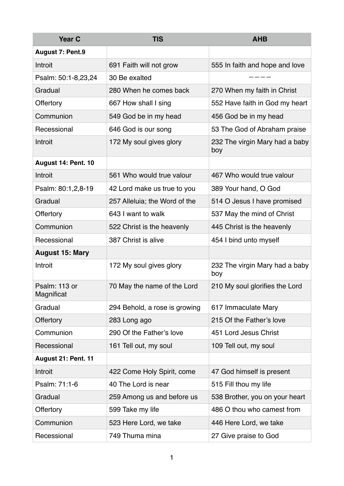| <b>Year C</b>               | <b>TIS</b>                    | <b>AHB</b>                            |
|-----------------------------|-------------------------------|---------------------------------------|
| <b>August 7: Pent.9</b>     |                               |                                       |
| Introit                     | 691 Faith will not grow       | 555 In faith and hope and love        |
| Psalm: 50:1-8,23,24         | 30 Be exalted                 |                                       |
| Gradual                     | 280 When he comes back        | 270 When my faith in Christ           |
| <b>Offertory</b>            | 667 How shall I sing          | 552 Have faith in God my heart        |
| Communion                   | 549 God be in my head         | 456 God be in my head                 |
| Recessional                 | 646 God is our song           | 53 The God of Abraham praise          |
| Introit                     | 172 My soul gives glory       | 232 The virgin Mary had a baby<br>boy |
| August 14: Pent. 10         |                               |                                       |
| Introit                     | 561 Who would true valour     | 467 Who would true valour             |
| Psalm: 80:1,2,8-19          | 42 Lord make us true to you   | 389 Your hand, O God                  |
| Gradual                     | 257 Alleluia; the Word of the | 514 O Jesus I have promised           |
| <b>Offertory</b>            | 643 I want to walk            | 537 May the mind of Christ            |
| Communion                   | 522 Christ is the heavenly    | 445 Christ is the heavenly            |
| Recessional                 | 387 Christ is alive           | 454 I bind unto myself                |
| <b>August 15: Mary</b>      |                               |                                       |
| Introit                     | 172 My soul gives glory       | 232 The virgin Mary had a baby<br>boy |
| Psalm: 113 or<br>Magnificat | 70 May the name of the Lord   | 210 My soul glorifies the Lord        |
| Gradual                     | 294 Behold, a rose is growing | 617 Immaculate Mary                   |
| Offertory                   | 283 Long ago                  | 215 Of the Father's love              |
| Communion                   | 290 Of the Father's love      | 451 Lord Jesus Christ                 |
| Recessional                 | 161 Tell out, my soul         | 109 Tell out, my soul                 |
| August 21: Pent. 11         |                               |                                       |
| Introit                     | 422 Come Holy Spirit, come    | 47 God himself is present             |
| Psalm: 71:1-6               | 40 The Lord is near           | 515 Fill thou my life                 |
| Gradual                     | 259 Among us and before us    | 538 Brother, you on your heart        |
| Offertory                   | 599 Take my life              | 486 O thou who camest from            |
| Communion                   | 523 Here Lord, we take        | 446 Here Lord, we take                |
| Recessional                 | 749 Thuma mina                | 27 Give praise to God                 |